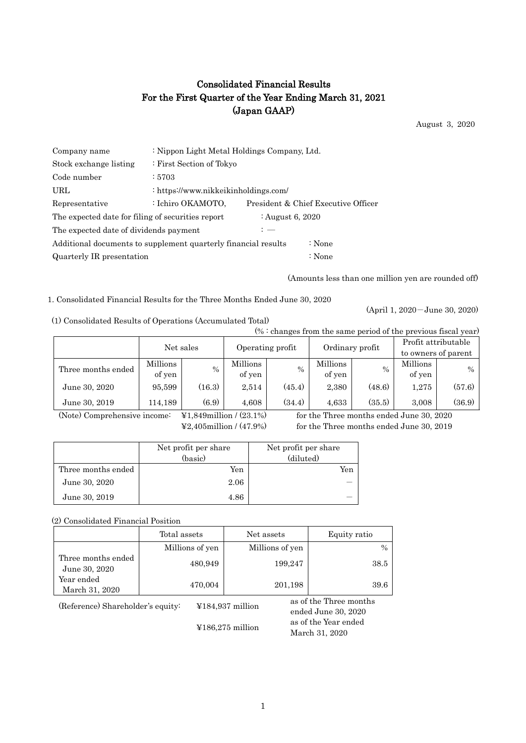# Consolidated Financial Results For the First Quarter of the Year Ending March 31, 2021 (Japan GAAP)

August 3, 2020

| Company name                                                          | : Nippon Light Metal Holdings Company, Ltd. |  |                                     |  |  |
|-----------------------------------------------------------------------|---------------------------------------------|--|-------------------------------------|--|--|
| Stock exchange listing                                                | : First Section of Tokyo                    |  |                                     |  |  |
| Code number                                                           | : 5703                                      |  |                                     |  |  |
| URL                                                                   | : https://www.nikkeikinholdings.com/        |  |                                     |  |  |
| Representative                                                        | : Ichiro OKAMOTO,                           |  | President & Chief Executive Officer |  |  |
| The expected date for filing of securities report<br>: August 6, 2020 |                                             |  |                                     |  |  |
| The expected date of dividends payment<br>: —                         |                                             |  |                                     |  |  |
| Additional documents to supplement quarterly financial results        |                                             |  | : None                              |  |  |
| Quarterly IR presentation<br>: None                                   |                                             |  |                                     |  |  |

(Amounts less than one million yen are rounded off)

1. Consolidated Financial Results for the Three Months Ended June 30, 2020

(1) Consolidated Results of Operations (Accumulated Total)

(April 1, 2020-June 30, 2020)

| -, componented recognition or citation of the second ended recognition |                    |        |                                                            |               |                    |        |                     |        |
|------------------------------------------------------------------------|--------------------|--------|------------------------------------------------------------|---------------|--------------------|--------|---------------------|--------|
| $% :$ changes from the same period of the previous fiscal year)        |                    |        |                                                            |               |                    |        |                     |        |
|                                                                        | Net sales          |        | Profit attributable<br>Operating profit<br>Ordinary profit |               |                    |        |                     |        |
|                                                                        |                    |        |                                                            |               |                    |        | to owners of parent |        |
| Three months ended                                                     | Millions<br>of yen | $\%$   | Millions<br>of yen                                         | $\frac{0}{0}$ | Millions<br>of yen | $\%$   | Millions<br>of yen  | $\%$   |
| June 30, 2020                                                          | 95,599             | (16.3) | 2,514                                                      | (45.4)        | 2,380              | (48.6) | 1,275               | (57.6) |
| June 30, 2019                                                          | 114.189            | (6.9)  | 4.608                                                      | (34.4)        | 4.633              | (35.5) | 3.008               | (36.9) |

(Note) Comprehensive income: ¥1,849million / (23.1%) for the Three months ended June 30, 2020

¥2,405million / (47.9%) for the Three months ended June 30, 2019

|                    | Net profit per share | Net profit per share |
|--------------------|----------------------|----------------------|
|                    | (basic)              | (diluted)            |
| Three months ended | Yen                  | Yen                  |
| June 30, 2020      | 2.06                 |                      |
| June 30, 2019      | 4.86                 |                      |

(2) Consolidated Financial Position

|                                     | Total assets    | Net assets                        | Equity ratio                                  |  |
|-------------------------------------|-----------------|-----------------------------------|-----------------------------------------------|--|
|                                     | Millions of yen | Millions of yen                   | $\frac{0}{0}$                                 |  |
| Three months ended<br>June 30, 2020 | 480,949         | 199,247                           | 38.5                                          |  |
| Year ended<br>March 31, 2020        | 470,004         | 201,198                           | 39.6                                          |  |
| (Reference) Shareholder's equity:   |                 | $¥184,937$ million                | as of the Three months<br>ended June 30, 2020 |  |
|                                     |                 | $\text{\textless}186,275$ million | as of the Year ended<br>March 31, 2020        |  |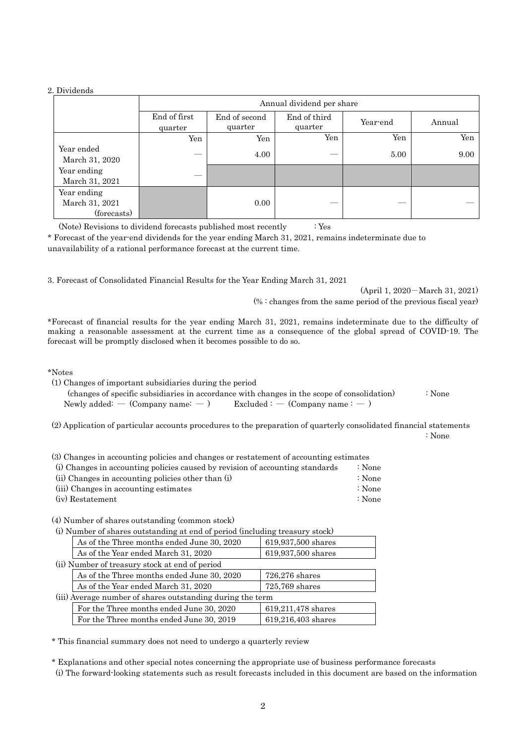#### 2. Dividends

|                                              | Annual dividend per share |                          |                         |          |        |
|----------------------------------------------|---------------------------|--------------------------|-------------------------|----------|--------|
|                                              | End of first<br>quarter   | End of second<br>quarter | End of third<br>quarter | Year-end | Annual |
|                                              | Yen                       | Yen                      | Yen                     | Yen      | Yen    |
| Year ended<br>March 31, 2020                 |                           | 4.00                     |                         | 5.00     | 9.00   |
| Year ending<br>March 31, 2021                |                           |                          |                         |          |        |
| Year ending<br>March 31, 2021<br>(forecasts) |                           | 0.00                     |                         |          |        |

(Note) Revisions to dividend forecasts published most recently : Yes

\* Forecast of the year-end dividends for the year ending March 31, 2021, remains indeterminate due to unavailability of a rational performance forecast at the current time.

3. Forecast of Consolidated Financial Results for the Year Ending March 31, 2021

(April 1, 2020-March 31, 2021) (% : changes from the same period of the previous fiscal year)

\*Forecast of financial results for the year ending March 31, 2021, remains indeterminate due to the difficulty of making a reasonable assessment at the current time as a consequence of the global spread of COVID-19. The forecast will be promptly disclosed when it becomes possible to do so.

\*Notes

(1) Changes of important subsidiaries during the period

 (changes of specific subsidiaries in accordance with changes in the scope of consolidation) : None Newly added: — (Company name:  $-$  ) Excluded : — (Company name :  $-$  )

(2) Application of particular accounts procedures to the preparation of quarterly consolidated financial statements

: None

(3) Changes in accounting policies and changes or restatement of accounting estimates

| (i) Changes in accounting policies caused by revision of accounting standards | ∶ None |
|-------------------------------------------------------------------------------|--------|
| (ii) Changes in accounting policies other than (i)                            | ∶ None |
| (iii) Changes in accounting estimates                                         | ∶ None |
| (iv) Restatement                                                              | ∶ None |

(4) Number of shares outstanding (common stock)

(i) Number of shares outstanding at end of period (including treasury stock)

| As of the Three months ended June 30, 2020                 | 619,937,500 shares |
|------------------------------------------------------------|--------------------|
| As of the Year ended March 31, 2020                        | 619,937,500 shares |
| (ii) Number of treasury stock at end of period             |                    |
| As of the Three months ended June 30, 2020                 | $726,276$ shares   |
| As of the Year ended March 31, 2020                        | $725,769$ shares   |
| (iii) Average number of shares outstanding during the term |                    |
| For the Three months ended June 30, 2020                   | 619,211,478 shares |
| For the Three months ended June 30, 2019                   | 619,216,403 shares |

\* This financial summary does not need to undergo a quarterly review

\* Explanations and other special notes concerning the appropriate use of business performance forecasts

(i) The forward-looking statements such as result forecasts included in this document are based on the information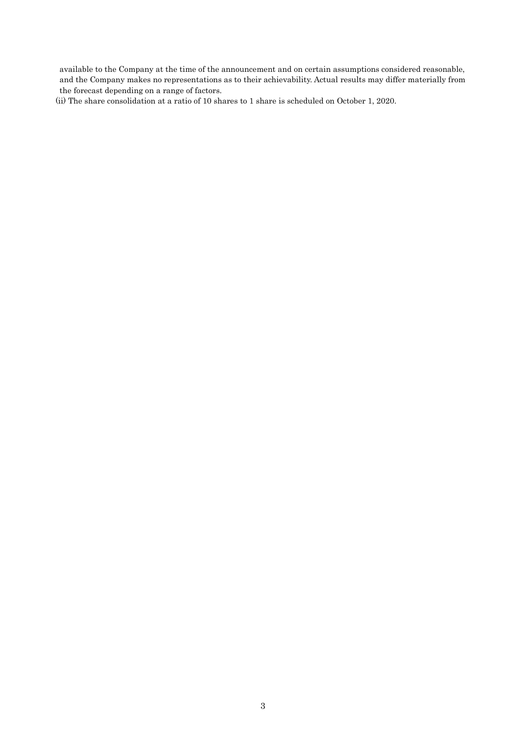available to the Company at the time of the announcement and on certain assumptions considered reasonable, and the Company makes no representations as to their achievability. Actual results may differ materially from the forecast depending on a range of factors.

(ii) The share consolidation at a ratio of 10 shares to 1 share is scheduled on October 1, 2020.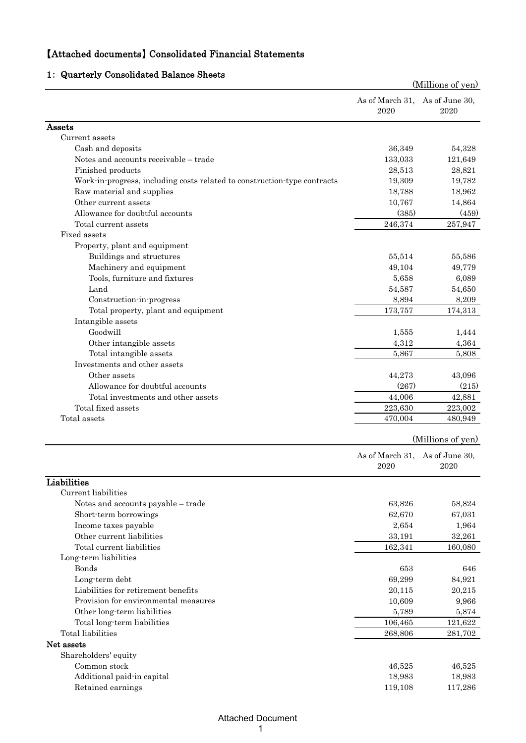# 【Attached documents】 Consolidated Financial Statements

# 1: Quarterly Consolidated Balance Sheets

|                                                                          |                                | (Millions of yen)      |
|--------------------------------------------------------------------------|--------------------------------|------------------------|
|                                                                          | As of March 31,<br>2020        | As of June 30,<br>2020 |
| Assets                                                                   |                                |                        |
| Current assets                                                           |                                |                        |
| Cash and deposits                                                        | 36,349                         | 54,328                 |
| Notes and accounts receivable - trade                                    | 133,033                        | 121,649                |
| Finished products                                                        | 28,513                         | 28,821                 |
| Work-in-progress, including costs related to construction-type contracts | 19,309                         | 19,782                 |
| Raw material and supplies                                                | 18,788                         | 18,962                 |
| Other current assets                                                     | 10,767                         | 14,864                 |
| Allowance for doubtful accounts                                          | (385)                          | (459)                  |
| Total current assets                                                     | 246,374                        | 257,947                |
| Fixed assets                                                             |                                |                        |
| Property, plant and equipment                                            |                                |                        |
| Buildings and structures                                                 | 55,514                         | 55,586                 |
| Machinery and equipment                                                  | 49,104                         | 49,779                 |
| Tools, furniture and fixtures                                            | 5,658                          | 6,089                  |
| Land                                                                     | 54,587                         | 54,650                 |
| Construction-in-progress                                                 | 8,894                          | 8,209                  |
| Total property, plant and equipment                                      | 173,757                        | 174,313                |
| Intangible assets                                                        |                                |                        |
| Goodwill                                                                 | 1,555                          | 1,444                  |
| Other intangible assets                                                  | 4,312                          | 4,364                  |
| Total intangible assets                                                  | 5,867                          | 5,808                  |
| Investments and other assets                                             |                                |                        |
| Other assets                                                             | 44,273                         | 43,096                 |
| Allowance for doubtful accounts                                          | (267)                          | (215)                  |
| Total investments and other assets                                       | 44,006                         | 42,881                 |
| Total fixed assets                                                       | 223,630                        | 223,002                |
| Total assets                                                             | 470,004                        | 480,949                |
|                                                                          |                                | (Millions of yen)      |
|                                                                          | As of March 31, As of June 30, |                        |
|                                                                          | 2020                           | 2020                   |
| Liabilities                                                              |                                |                        |
| Current liabilities                                                      |                                |                        |
| Notes and accounts payable - trade                                       | 63,826                         | 58,824                 |
| Short-term borrowings                                                    | 62,670                         | 67,031                 |
| Income taxes payable                                                     | 2,654                          | 1,964                  |
| Other current liabilities                                                | 33,191                         | 32,261                 |
| Total current liabilities                                                | 162,341                        | 160,080                |
| Long-term liabilities                                                    |                                |                        |
| <b>Bonds</b>                                                             | 653                            | 646                    |
| Long-term debt                                                           | 69,299                         | 84,921                 |
| Liabilities for retirement benefits                                      | 20,115                         | 20,215                 |
| Provision for environmental measures                                     | 10,609                         | 9,966                  |
| Other long-term liabilities                                              | 5,789                          | 5,874                  |
| Total long-term liabilities                                              | 106,465                        | 121,622                |
| Total liabilities                                                        | 268,806                        | 281,702                |
| Net assets                                                               |                                |                        |
| Shareholders' equity                                                     |                                |                        |
| Common stock                                                             | 46,525                         | 46,525                 |
| Additional paid-in capital                                               | 18,983                         | 18,983                 |
| Retained earnings                                                        | 119,108                        | 117,286                |